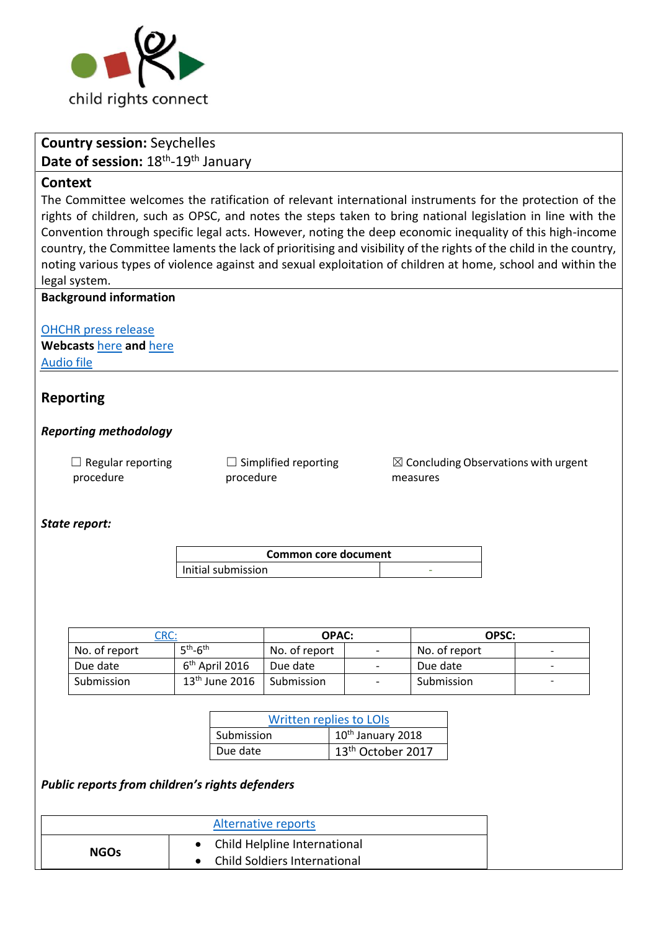

# **Country session:** Seychelles Date of session: 18<sup>th</sup>-19<sup>th</sup> January

### **Context**

The Committee welcomes the ratification of relevant international instruments for the protection of the rights of children, such as OPSC, and notes the steps taken to bring national legislation in line with the Convention through specific legal acts. However, noting the deep economic inequality of this high-income country, the Committee laments the lack of prioritising and visibility of the rights of the child in the country, noting various types of violence against and sexual exploitation of children at home, school and within the legal system.

### **Background information**

[OHCHR press release](http://www.ohchr.org/EN/NewsEvents/Pages/DisplayNews.aspx?NewsID=22597&LangID=E)

**Webcasts** [here](http://webtv.un.org/search/consideration-of-seychelles-2260th-meeting-77th-session-committee-on-the-rights-of-the-child/5713997217001/?term=seychelles&sort=date) **and** [here](http://webtv.un.org/search/consideration-of-seychelles-contd-2261st-meeting-77th-session-committee-on-the-rights-of-the-child/5715161863001/?term=seychelles&sort=date) [Audio file](https://conf.unog.ch/digitalrecordings/)

# **Reporting**

### *Reporting methodology*

 $\Box$  Regular reporting procedure

 $\Box$  Simplified reporting procedure

 $\boxtimes$  Concluding Observations with urgent measures

#### *State report:*

| Common core document |  |
|----------------------|--|
| Initial submission   |  |

| CRC:          |                  | <b>OPAC:</b>  |                          | OPSC:         |                          |
|---------------|------------------|---------------|--------------------------|---------------|--------------------------|
| No. of report | $5th-6th$        | No. of report | $\overline{\phantom{a}}$ | No. of report | -                        |
| Due date      | $6th$ April 2016 | Due date      | $\overline{\phantom{a}}$ | Due date      |                          |
| Submission    | $13th$ June 2016 | Submission    | $\overline{a}$           | Submission    | $\overline{\phantom{0}}$ |

| <b>Written replies to LOIS</b> |                               |  |
|--------------------------------|-------------------------------|--|
| Submission                     | 10 <sup>th</sup> January 2018 |  |
| Due date                       | 13th October 2017             |  |

### *Public reports from children's rights defenders*

| Alternative reports |                                                                |  |
|---------------------|----------------------------------------------------------------|--|
| <b>NGOs</b>         | • Child Helpline International<br>Child Soldiers International |  |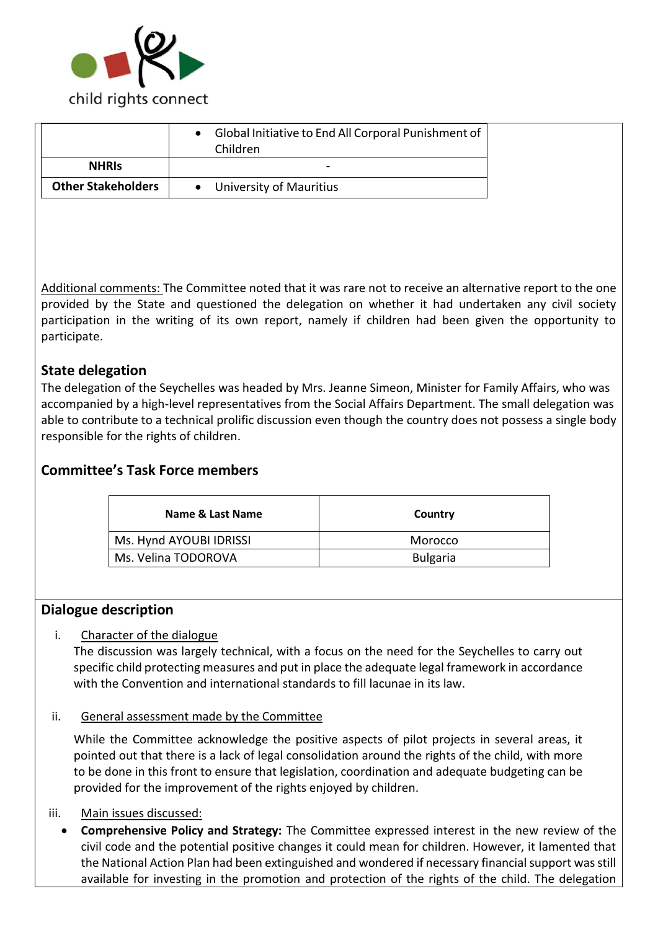

| <b>NHRIS</b>                                           |
|--------------------------------------------------------|
| <b>Other Stakeholders</b><br>• University of Mauritius |

Additional comments: The Committee noted that it was rare not to receive an alternative report to the one provided by the State and questioned the delegation on whether it had undertaken any civil society participation in the writing of its own report, namely if children had been given the opportunity to participate.

# **State delegation**

The delegation of the Seychelles was headed by Mrs. Jeanne Simeon, Minister for Family Affairs, who was accompanied by a high-level representatives from the Social Affairs Department. The small delegation was able to contribute to a technical prolific discussion even though the country does not possess a single body responsible for the rights of children.

# **Committee's Task Force members**

| Name & Last Name        | Country         |
|-------------------------|-----------------|
| Ms. Hynd AYOUBI IDRISSI | Morocco         |
| Ms. Velina TODOROVA     | <b>Bulgaria</b> |

# **Dialogue description**

### i. Character of the dialogue

The discussion was largely technical, with a focus on the need for the Seychelles to carry out specific child protecting measures and put in place the adequate legal framework in accordance with the Convention and international standards to fill lacunae in its law.

### ii. General assessment made by the Committee

While the Committee acknowledge the positive aspects of pilot projects in several areas, it pointed out that there is a lack of legal consolidation around the rights of the child, with more to be done in this front to ensure that legislation, coordination and adequate budgeting can be provided for the improvement of the rights enjoyed by children.

### iii. Main issues discussed:

• **Comprehensive Policy and Strategy:** The Committee expressed interest in the new review of the civil code and the potential positive changes it could mean for children. However, it lamented that the National Action Plan had been extinguished and wondered if necessary financial support was still available for investing in the promotion and protection of the rights of the child. The delegation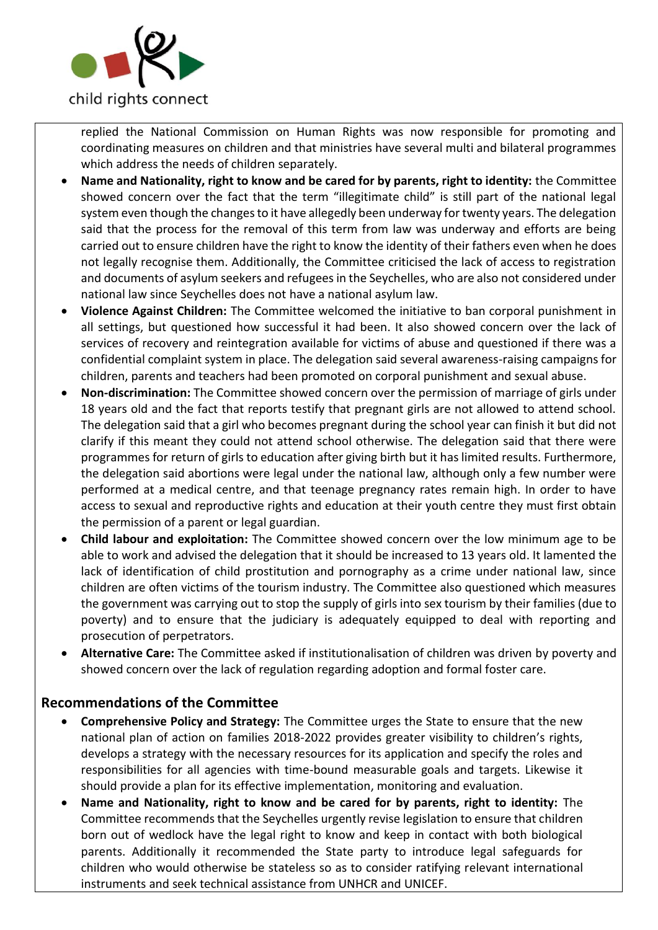

replied the National Commission on Human Rights was now responsible for promoting and coordinating measures on children and that ministries have several multi and bilateral programmes which address the needs of children separately.

- **Name and Nationality, right to know and be cared for by parents, right to identity:** the Committee showed concern over the fact that the term "illegitimate child" is still part of the national legal system even though the changes to it have allegedly been underway for twenty years. The delegation said that the process for the removal of this term from law was underway and efforts are being carried out to ensure children have the right to know the identity of their fathers even when he does not legally recognise them. Additionally, the Committee criticised the lack of access to registration and documents of asylum seekers and refugees in the Seychelles, who are also not considered under national law since Seychelles does not have a national asylum law.
- **Violence Against Children:** The Committee welcomed the initiative to ban corporal punishment in all settings, but questioned how successful it had been. It also showed concern over the lack of services of recovery and reintegration available for victims of abuse and questioned if there was a confidential complaint system in place. The delegation said several awareness-raising campaigns for children, parents and teachers had been promoted on corporal punishment and sexual abuse.
- **Non-discrimination:** The Committee showed concern over the permission of marriage of girls under 18 years old and the fact that reports testify that pregnant girls are not allowed to attend school. The delegation said that a girl who becomes pregnant during the school year can finish it but did not clarify if this meant they could not attend school otherwise. The delegation said that there were programmes for return of girls to education after giving birth but it has limited results. Furthermore, the delegation said abortions were legal under the national law, although only a few number were performed at a medical centre, and that teenage pregnancy rates remain high. In order to have access to sexual and reproductive rights and education at their youth centre they must first obtain the permission of a parent or legal guardian.
- **Child labour and exploitation:** The Committee showed concern over the low minimum age to be able to work and advised the delegation that it should be increased to 13 years old. It lamented the lack of identification of child prostitution and pornography as a crime under national law, since children are often victims of the tourism industry. The Committee also questioned which measures the government was carrying out to stop the supply of girls into sex tourism by their families (due to poverty) and to ensure that the judiciary is adequately equipped to deal with reporting and prosecution of perpetrators.
- **Alternative Care:** The Committee asked if institutionalisation of children was driven by poverty and showed concern over the lack of regulation regarding adoption and formal foster care.

# **Recommendations of the Committee**

- **Comprehensive Policy and Strategy:** The Committee urges the State to ensure that the new national plan of action on families 2018-2022 provides greater visibility to children's rights, develops a strategy with the necessary resources for its application and specify the roles and responsibilities for all agencies with time-bound measurable goals and targets. Likewise it should provide a plan for its effective implementation, monitoring and evaluation.
- **Name and Nationality, right to know and be cared for by parents, right to identity:** The Committee recommends that the Seychelles urgently revise legislation to ensure that children born out of wedlock have the legal right to know and keep in contact with both biological parents. Additionally it recommended the State party to introduce legal safeguards for children who would otherwise be stateless so as to consider ratifying relevant international instruments and seek technical assistance from UNHCR and UNICEF.